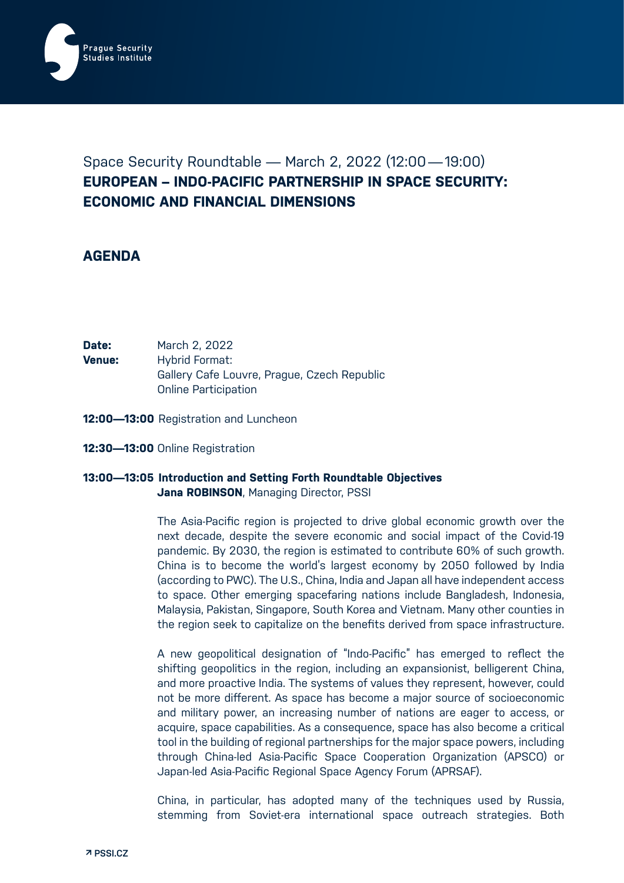

# Space Security Roundtable — March 2, 2022 (12:00—19:00) **EUROPEAN – INDO-PACIFIC PARTNERSHIP IN SPACE SECURITY: ECONOMIC AND FINANCIAL DIMENSIONS**

# **AGENDA**

| Date:  | March 2, 2022                               |
|--------|---------------------------------------------|
| Venue: | Hybrid Format:                              |
|        | Gallery Cafe Louvre, Prague, Czech Republic |
|        | <b>Online Participation</b>                 |

- **12:00—13:00** Registration and Luncheon
- **12:30—13:00** Online Registration

## **13:00—13:05 Introduction and Setting Forth Roundtable Objectives Jana ROBINSON**, Managing Director, PSSI

The Asia-Pacific region is projected to drive global economic growth over the next decade, despite the severe economic and social impact of the Covid-19 pandemic. By 2030, the region is estimated to contribute 60% of such growth. China is to become the world's largest economy by 2050 followed by India (according to PWC). The U.S., China, India and Japan all have independent access to space. Other emerging spacefaring nations include Bangladesh, Indonesia, Malaysia, Pakistan, Singapore, South Korea and Vietnam. Many other counties in the region seek to capitalize on the benefits derived from space infrastructure.

A new geopolitical designation of "Indo-Pacific" has emerged to reflect the shifting geopolitics in the region, including an expansionist, belligerent China, and more proactive India. The systems of values they represent, however, could not be more different. As space has become a major source of socioeconomic and military power, an increasing number of nations are eager to access, or acquire, space capabilities. As a consequence, space has also become a critical tool in the building of regional partnerships for the major space powers, including through China-led Asia-Pacific Space Cooperation Organization (APSCO) or Japan-led Asia-Pacific Regional Space Agency Forum (APRSAF).

China, in particular, has adopted many of the techniques used by Russia, stemming from Soviet-era international space outreach strategies. Both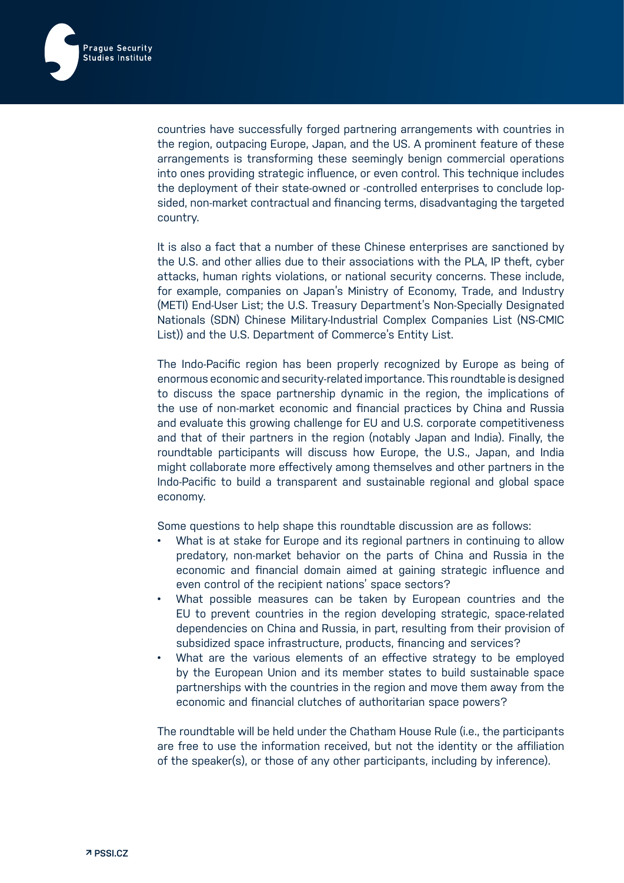

countries have successfully forged partnering arrangements with countries in the region, outpacing Europe, Japan, and the US. A prominent feature of these arrangements is transforming these seemingly benign commercial operations into ones providing strategic influence, or even control. This technique includes the deployment of their state-owned or -controlled enterprises to conclude lopsided, non-market contractual and financing terms, disadvantaging the targeted country.

It is also a fact that a number of these Chinese enterprises are sanctioned by the U.S. and other allies due to their associations with the PLA, IP theft, cyber attacks, human rights violations, or national security concerns. These include, for example, companies on Japan's Ministry of Economy, Trade, and Industry (METI) End-User List; the U.S. Treasury Department's Non-Specially Designated Nationals (SDN) Chinese Military-Industrial Complex Companies List (NS-CMIC List)) and the U.S. Department of Commerce's Entity List.

The Indo-Pacific region has been properly recognized by Europe as being of enormous economic and security-related importance. This roundtable is designed to discuss the space partnership dynamic in the region, the implications of the use of non-market economic and financial practices by China and Russia and evaluate this growing challenge for EU and U.S. corporate competitiveness and that of their partners in the region (notably Japan and India). Finally, the roundtable participants will discuss how Europe, the U.S., Japan, and India might collaborate more effectively among themselves and other partners in the Indo-Pacific to build a transparent and sustainable regional and global space economy.

Some questions to help shape this roundtable discussion are as follows:

- What is at stake for Europe and its regional partners in continuing to allow predatory, non-market behavior on the parts of China and Russia in the economic and financial domain aimed at gaining strategic influence and even control of the recipient nations' space sectors?
- What possible measures can be taken by European countries and the EU to prevent countries in the region developing strategic, space-related dependencies on China and Russia, in part, resulting from their provision of subsidized space infrastructure, products, financing and services?
- What are the various elements of an effective strategy to be employed by the European Union and its member states to build sustainable space partnerships with the countries in the region and move them away from the economic and financial clutches of authoritarian space powers?

The roundtable will be held under the Chatham House Rule (i.e., the participants are free to use the information received, but not the identity or the affiliation of the speaker(s), or those of any other participants, including by inference).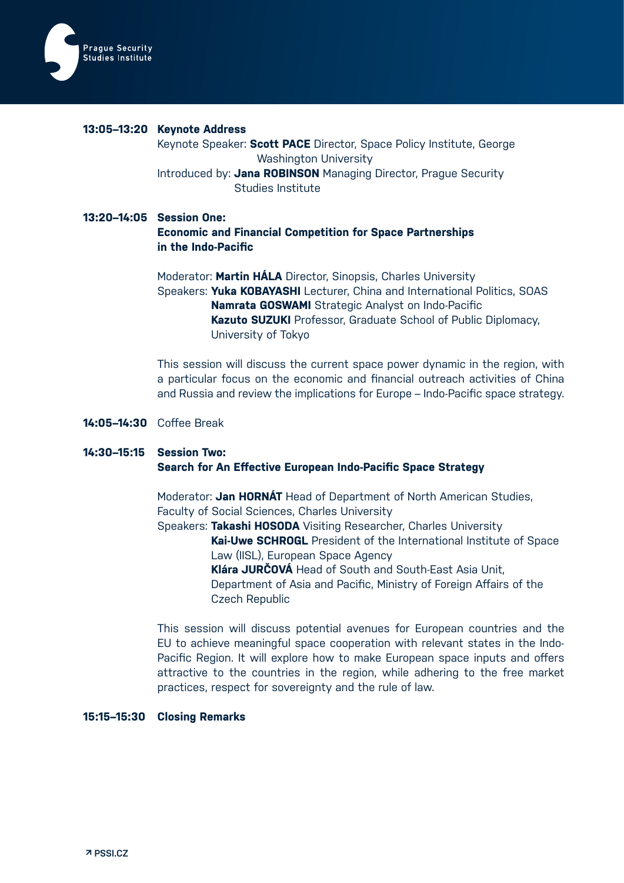

#### **13:05–13:20 Keynote Address**

Keynote Speaker: **Scott PACE** Director, Space Policy Institute, George Washington University Introduced by: **Jana ROBINSON** Managing Director, Prague Security Studies Institute

## **13:20–14:05 Session One:**

**Economic and Financial Competition for Space Partnerships in the Indo-Pacific**

Moderator: **Martin HÁLA** Director, Sinopsis, Charles University Speakers: **Yuka KOBAYASHI** Lecturer, China and International Politics, SOAS **Namrata GOSWAMI** Strategic Analyst on Indo-Pacific **Kazuto SUZUKI** Professor, Graduate School of Public Diplomacy, University of Tokyo

This session will discuss the current space power dynamic in the region, with a particular focus on the economic and financial outreach activities of China and Russia and review the implications for Europe – Indo-Pacific space strategy.

#### **14:05–14:30** Coffee Break

# **14:30–15:15 Session Two: Search for An Effective European Indo-Pacific Space Strategy**

Moderator: **Jan HORNÁT** Head of Department of North American Studies, Faculty of Social Sciences, Charles University

Speakers: **Takashi HOSODA** Visiting Researcher, Charles University **Kai-Uwe SCHROGL** President of the International Institute of Space Law (IISL), European Space Agency **Klára JURČOVÁ** Head of South and South-East Asia Unit, Department of Asia and Pacific, Ministry of Foreign Affairs of the Czech Republic

This session will discuss potential avenues for European countries and the EU to achieve meaningful space cooperation with relevant states in the Indo-Pacific Region. It will explore how to make European space inputs and offers attractive to the countries in the region, while adhering to the free market practices, respect for sovereignty and the rule of law.

#### **15:15–15:30 Closing Remarks**